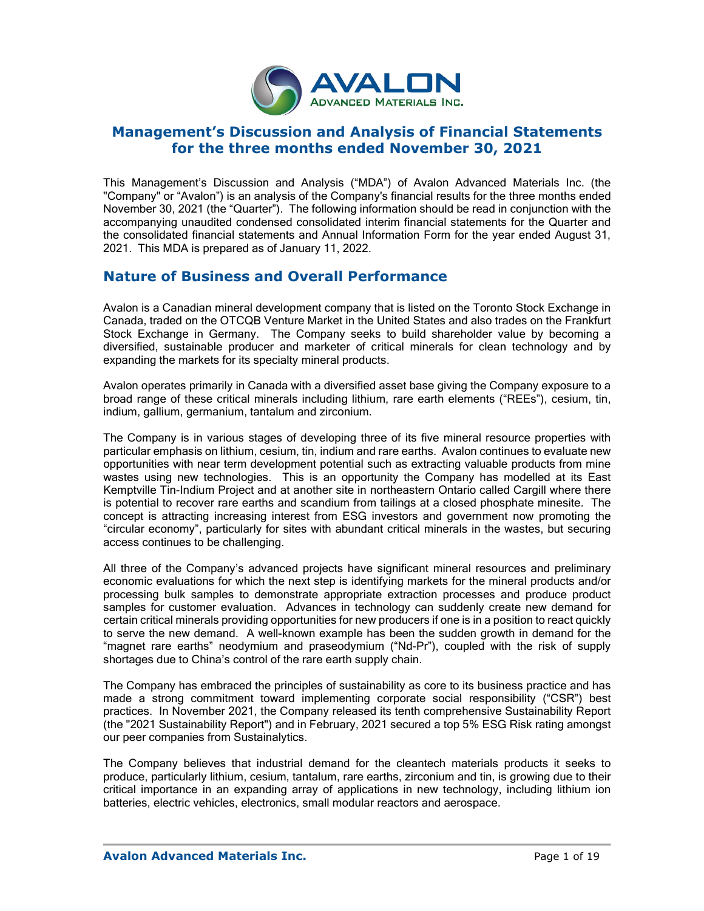

## **Management's Discussion and Analysis of Financial Statements for the three months ended November 30, 2021**

This Management's Discussion and Analysis ("MDA") of Avalon Advanced Materials Inc. (the "Company" or "Avalon") is an analysis of the Company's financial results for the three months ended November 30, 2021 (the "Quarter"). The following information should be read in conjunction with the accompanying unaudited condensed consolidated interim financial statements for the Quarter and the consolidated financial statements and Annual Information Form for the year ended August 31, 2021. This MDA is prepared as of January 11, 2022.

## **Nature of Business and Overall Performance**

Avalon is a Canadian mineral development company that is listed on the Toronto Stock Exchange in Canada, traded on the OTCQB Venture Market in the United States and also trades on the Frankfurt Stock Exchange in Germany. The Company seeks to build shareholder value by becoming a diversified, sustainable producer and marketer of critical minerals for clean technology and by expanding the markets for its specialty mineral products.

Avalon operates primarily in Canada with a diversified asset base giving the Company exposure to a broad range of these critical minerals including lithium, rare earth elements ("REEs"), cesium, tin, indium, gallium, germanium, tantalum and zirconium.

The Company is in various stages of developing three of its five mineral resource properties with particular emphasis on lithium, cesium, tin, indium and rare earths. Avalon continues to evaluate new opportunities with near term development potential such as extracting valuable products from mine wastes using new technologies. This is an opportunity the Company has modelled at its East Kemptville Tin-Indium Project and at another site in northeastern Ontario called Cargill where there is potential to recover rare earths and scandium from tailings at a closed phosphate minesite. The concept is attracting increasing interest from ESG investors and government now promoting the "circular economy", particularly for sites with abundant critical minerals in the wastes, but securing access continues to be challenging.

All three of the Company's advanced projects have significant mineral resources and preliminary economic evaluations for which the next step is identifying markets for the mineral products and/or processing bulk samples to demonstrate appropriate extraction processes and produce product samples for customer evaluation. Advances in technology can suddenly create new demand for certain critical minerals providing opportunities for new producers if one is in a position to react quickly to serve the new demand. A well-known example has been the sudden growth in demand for the "magnet rare earths" neodymium and praseodymium ("Nd-Pr"), coupled with the risk of supply shortages due to China's control of the rare earth supply chain.

The Company has embraced the principles of sustainability as core to its business practice and has made a strong commitment toward implementing corporate social responsibility ("CSR") best practices. In November 2021, the Company released its tenth comprehensive Sustainability Report (the "2021 Sustainability Report") and in February, 2021 secured a top 5% ESG Risk rating amongst our peer companies from Sustainalytics.

The Company believes that industrial demand for the cleantech materials products it seeks to produce, particularly lithium, cesium, tantalum, rare earths, zirconium and tin, is growing due to their critical importance in an expanding array of applications in new technology, including lithium ion batteries, electric vehicles, electronics, small modular reactors and aerospace.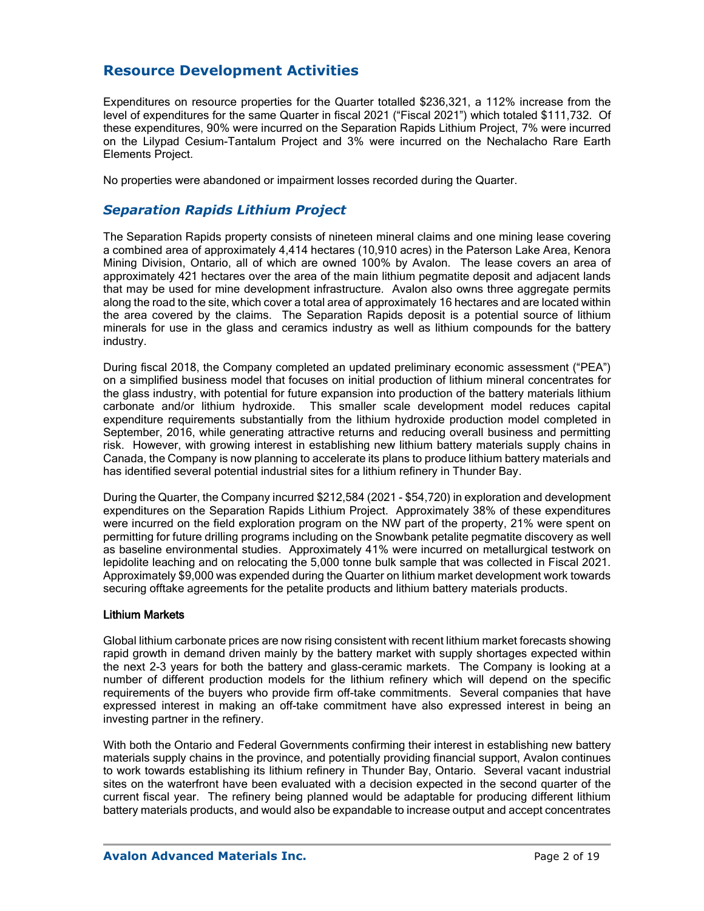# **Resource Development Activities**

Expenditures on resource properties for the Quarter totalled \$236,321, a 112% increase from the level of expenditures for the same Quarter in fiscal 2021 ("Fiscal 2021") which totaled \$111,732. Of these expenditures, 90% were incurred on the Separation Rapids Lithium Project, 7% were incurred on the Lilypad Cesium-Tantalum Project and 3% were incurred on the Nechalacho Rare Earth Elements Project.

No properties were abandoned or impairment losses recorded during the Quarter.

### *Separation Rapids Lithium Project*

The Separation Rapids property consists of nineteen mineral claims and one mining lease covering a combined area of approximately 4,414 hectares (10,910 acres) in the Paterson Lake Area, Kenora Mining Division, Ontario, all of which are owned 100% by Avalon. The lease covers an area of approximately 421 hectares over the area of the main lithium pegmatite deposit and adjacent lands that may be used for mine development infrastructure. Avalon also owns three aggregate permits along the road to the site, which cover a total area of approximately 16 hectares and are located within the area covered by the claims. The Separation Rapids deposit is a potential source of lithium minerals for use in the glass and ceramics industry as well as lithium compounds for the battery industry.

During fiscal 2018, the Company completed an updated preliminary economic assessment ("PEA") on a simplified business model that focuses on initial production of lithium mineral concentrates for the glass industry, with potential for future expansion into production of the battery materials lithium carbonate and/or lithium hydroxide. This smaller scale development model reduces capital expenditure requirements substantially from the lithium hydroxide production model completed in September, 2016, while generating attractive returns and reducing overall business and permitting risk. However, with growing interest in establishing new lithium battery materials supply chains in Canada, the Company is now planning to accelerate its plans to produce lithium battery materials and has identified several potential industrial sites for a lithium refinery in Thunder Bay.

During the Quarter, the Company incurred \$212,584 (2021 - \$54,720) in exploration and development expenditures on the Separation Rapids Lithium Project. Approximately 38% of these expenditures were incurred on the field exploration program on the NW part of the property, 21% were spent on permitting for future drilling programs including on the Snowbank petalite pegmatite discovery as well as baseline environmental studies. Approximately 41% were incurred on metallurgical testwork on lepidolite leaching and on relocating the 5,000 tonne bulk sample that was collected in Fiscal 2021. Approximately \$9,000 was expended during the Quarter on lithium market development work towards securing offtake agreements for the petalite products and lithium battery materials products.

### Lithium Markets

Global lithium carbonate prices are now rising consistent with recent lithium market forecasts showing rapid growth in demand driven mainly by the battery market with supply shortages expected within the next 2-3 years for both the battery and glass-ceramic markets. The Company is looking at a number of different production models for the lithium refinery which will depend on the specific requirements of the buyers who provide firm off-take commitments. Several companies that have expressed interest in making an off-take commitment have also expressed interest in being an investing partner in the refinery.

With both the Ontario and Federal Governments confirming their interest in establishing new battery materials supply chains in the province, and potentially providing financial support, Avalon continues to work towards establishing its lithium refinery in Thunder Bay, Ontario. Several vacant industrial sites on the waterfront have been evaluated with a decision expected in the second quarter of the current fiscal year. The refinery being planned would be adaptable for producing different lithium battery materials products, and would also be expandable to increase output and accept concentrates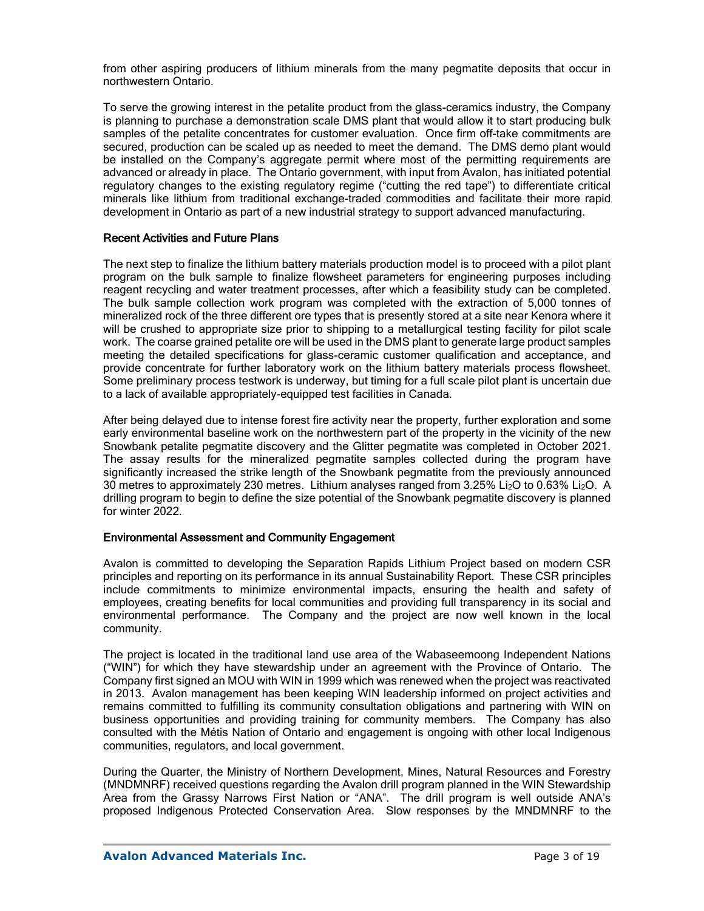from other aspiring producers of lithium minerals from the many pegmatite deposits that occur in northwestern Ontario.

To serve the growing interest in the petalite product from the glass-ceramics industry, the Company is planning to purchase a demonstration scale DMS plant that would allow it to start producing bulk samples of the petalite concentrates for customer evaluation. Once firm off-take commitments are secured, production can be scaled up as needed to meet the demand. The DMS demo plant would be installed on the Company's aggregate permit where most of the permitting requirements are advanced or already in place. The Ontario government, with input from Avalon, has initiated potential regulatory changes to the existing regulatory regime ("cutting the red tape") to differentiate critical minerals like lithium from traditional exchange-traded commodities and facilitate their more rapid development in Ontario as part of a new industrial strategy to support advanced manufacturing.

### Recent Activities and Future Plans

The next step to finalize the lithium battery materials production model is to proceed with a pilot plant program on the bulk sample to finalize flowsheet parameters for engineering purposes including reagent recycling and water treatment processes, after which a feasibility study can be completed. The bulk sample collection work program was completed with the extraction of 5,000 tonnes of mineralized rock of the three different ore types that is presently stored at a site near Kenora where it will be crushed to appropriate size prior to shipping to a metallurgical testing facility for pilot scale work. The coarse grained petalite ore will be used in the DMS plant to generate large product samples meeting the detailed specifications for glass-ceramic customer qualification and acceptance, and provide concentrate for further laboratory work on the lithium battery materials process flowsheet. Some preliminary process testwork is underway, but timing for a full scale pilot plant is uncertain due to a lack of available appropriately-equipped test facilities in Canada.

After being delayed due to intense forest fire activity near the property, further exploration and some early environmental baseline work on the northwestern part of the property in the vicinity of the new Snowbank petalite pegmatite discovery and the Glitter pegmatite was completed in October 2021. The assay results for the mineralized pegmatite samples collected during the program have significantly increased the strike length of the Snowbank pegmatite from the previously announced 30 metres to approximately 230 metres. Lithium analyses ranged from 3.25% Li2O to 0.63% Li2O. A drilling program to begin to define the size potential of the Snowbank pegmatite discovery is planned for winter 2022.

### Environmental Assessment and Community Engagement

Avalon is committed to developing the Separation Rapids Lithium Project based on modern CSR principles and reporting on its performance in its annual Sustainability Report. These CSR principles include commitments to minimize environmental impacts, ensuring the health and safety of employees, creating benefits for local communities and providing full transparency in its social and environmental performance. The Company and the project are now well known in the local community.

The project is located in the traditional land use area of the Wabaseemoong Independent Nations ("WIN") for which they have stewardship under an agreement with the Province of Ontario. The Company first signed an MOU with WIN in 1999 which was renewed when the project was reactivated in 2013. Avalon management has been keeping WIN leadership informed on project activities and remains committed to fulfilling its community consultation obligations and partnering with WIN on business opportunities and providing training for community members. The Company has also consulted with the Métis Nation of Ontario and engagement is ongoing with other local Indigenous communities, regulators, and local government.

During the Quarter, the Ministry of Northern Development, Mines, Natural Resources and Forestry (MNDMNRF) received questions regarding the Avalon drill program planned in the WIN Stewardship Area from the Grassy Narrows First Nation or "ANA". The drill program is well outside ANA's proposed Indigenous Protected Conservation Area. Slow responses by the MNDMNRF to the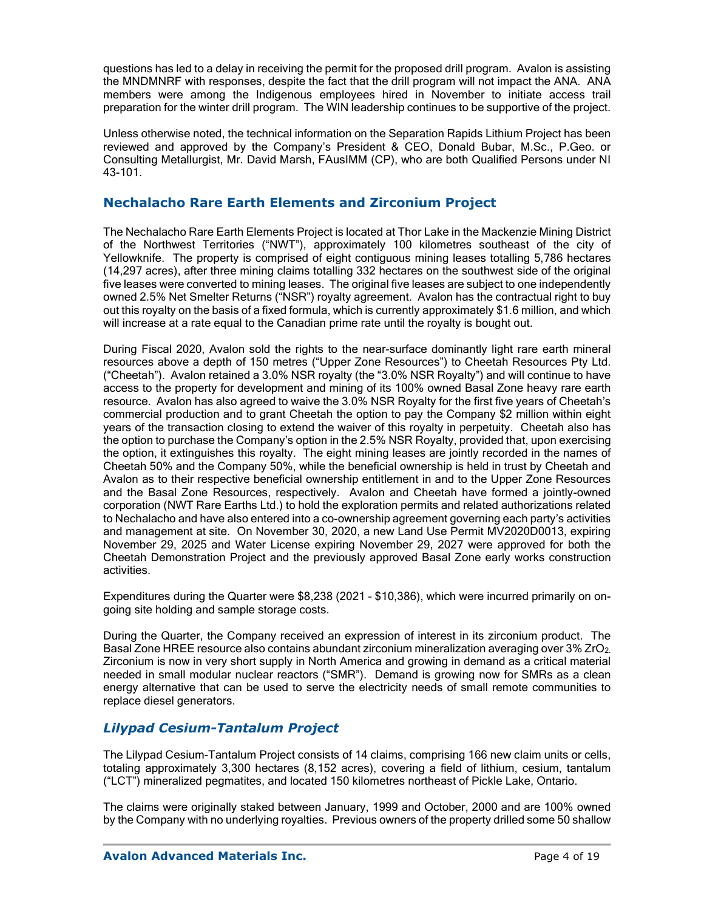questions has led to a delay in receiving the permit for the proposed drill program. Avalon is assisting the MNDMNRF with responses, despite the fact that the drill program will not impact the ANA. ANA members were among the Indigenous employees hired in November to initiate access trail preparation for the winter drill program. The WIN leadership continues to be supportive of the project.

Unless otherwise noted, the technical information on the Separation Rapids Lithium Project has been reviewed and approved by the Company's President & CEO, Donald Bubar, M.Sc., P.Geo. or Consulting Metallurgist, Mr. David Marsh, FAusIMM (CP), who are both Qualified Persons under NI 43-101.

### **Nechalacho Rare Earth Elements and Zirconium Project**

The Nechalacho Rare Earth Elements Project is located at Thor Lake in the Mackenzie Mining District of the Northwest Territories ("NWT"), approximately 100 kilometres southeast of the city of Yellowknife. The property is comprised of eight contiguous mining leases totalling 5,786 hectares (14,297 acres), after three mining claims totalling 332 hectares on the southwest side of the original five leases were converted to mining leases. The original five leases are subject to one independently owned 2.5% Net Smelter Returns ("NSR") royalty agreement. Avalon has the contractual right to buy out this royalty on the basis of a fixed formula, which is currently approximately \$1.6 million, and which will increase at a rate equal to the Canadian prime rate until the royalty is bought out.

During Fiscal 2020, Avalon sold the rights to the near-surface dominantly light rare earth mineral resources above a depth of 150 metres ("Upper Zone Resources") to Cheetah Resources Pty Ltd. ("Cheetah"). Avalon retained a 3.0% NSR royalty (the "3.0% NSR Royalty") and will continue to have access to the property for development and mining of its 100% owned Basal Zone heavy rare earth resource. Avalon has also agreed to waive the 3.0% NSR Royalty for the first five years of Cheetah's commercial production and to grant Cheetah the option to pay the Company \$2 million within eight years of the transaction closing to extend the waiver of this royalty in perpetuity. Cheetah also has the option to purchase the Company's option in the 2.5% NSR Royalty, provided that, upon exercising the option, it extinguishes this royalty. The eight mining leases are jointly recorded in the names of Cheetah 50% and the Company 50%, while the beneficial ownership is held in trust by Cheetah and Avalon as to their respective beneficial ownership entitlement in and to the Upper Zone Resources and the Basal Zone Resources, respectively. Avalon and Cheetah have formed a jointly-owned corporation (NWT Rare Earths Ltd.) to hold the exploration permits and related authorizations related to Nechalacho and have also entered into a co-ownership agreement governing each party's activities and management at site. On November 30, 2020, a new Land Use Permit MV2020D0013, expiring November 29, 2025 and Water License expiring November 29, 2027 were approved for both the Cheetah Demonstration Project and the previously approved Basal Zone early works construction activities.

Expenditures during the Quarter were \$8,238 (2021 – \$10,386), which were incurred primarily on ongoing site holding and sample storage costs.

During the Quarter, the Company received an expression of interest in its zirconium product. The Basal Zone HREE resource also contains abundant zirconium mineralization averaging over 3% ZrO<sub>2</sub>. Zirconium is now in very short supply in North America and growing in demand as a critical material needed in small modular nuclear reactors ("SMR"). Demand is growing now for SMRs as a clean energy alternative that can be used to serve the electricity needs of small remote communities to replace diesel generators.

### *Lilypad Cesium-Tantalum Project*

The Lilypad Cesium-Tantalum Project consists of 14 claims, comprising 166 new claim units or cells, totaling approximately 3,300 hectares (8,152 acres), covering a field of lithium, cesium, tantalum ("LCT") mineralized pegmatites, and located 150 kilometres northeast of Pickle Lake, Ontario.

The claims were originally staked between January, 1999 and October, 2000 and are 100% owned by the Company with no underlying royalties. Previous owners of the property drilled some 50 shallow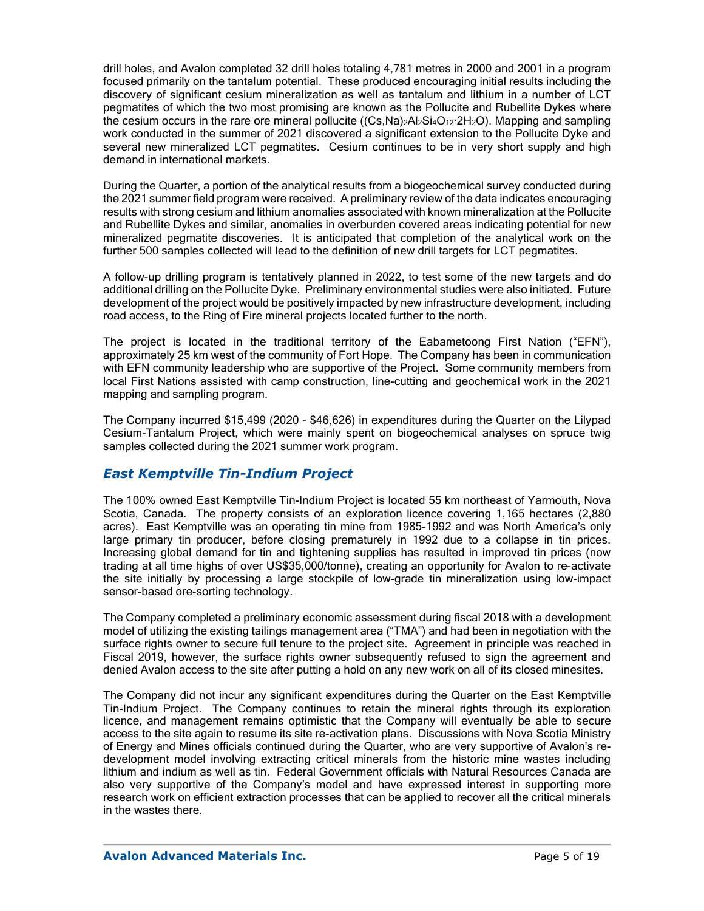drill holes, and Avalon completed 32 drill holes totaling 4,781 metres in 2000 and 2001 in a program focused primarily on the tantalum potential. These produced encouraging initial results including the discovery of significant cesium mineralization as well as tantalum and lithium in a number of LCT pegmatites of which the two most promising are known as the Pollucite and Rubellite Dykes where the cesium occurs in the rare ore mineral pollucite ((Cs,Na)<sub>2</sub>Al<sub>2</sub>Si<sub>4</sub>O<sub>12</sub>·2H<sub>2</sub>O). Mapping and sampling work conducted in the summer of 2021 discovered a significant extension to the Pollucite Dyke and several new mineralized LCT pegmatites. Cesium continues to be in very short supply and high demand in international markets.

During the Quarter, a portion of the analytical results from a biogeochemical survey conducted during the 2021 summer field program were received. A preliminary review of the data indicates encouraging results with strong cesium and lithium anomalies associated with known mineralization at the Pollucite and Rubellite Dykes and similar, anomalies in overburden covered areas indicating potential for new mineralized pegmatite discoveries. It is anticipated that completion of the analytical work on the further 500 samples collected will lead to the definition of new drill targets for LCT pegmatites.

A follow-up drilling program is tentatively planned in 2022, to test some of the new targets and do additional drilling on the Pollucite Dyke. Preliminary environmental studies were also initiated. Future development of the project would be positively impacted by new infrastructure development, including road access, to the Ring of Fire mineral projects located further to the north.

The project is located in the traditional territory of the Eabametoong First Nation ("EFN"), approximately 25 km west of the community of Fort Hope. The Company has been in communication with EFN community leadership who are supportive of the Project. Some community members from local First Nations assisted with camp construction, line-cutting and geochemical work in the 2021 mapping and sampling program.

The Company incurred \$15,499 (2020 - \$46,626) in expenditures during the Quarter on the Lilypad Cesium-Tantalum Project, which were mainly spent on biogeochemical analyses on spruce twig samples collected during the 2021 summer work program.

### *East Kemptville Tin-Indium Project*

The 100% owned East Kemptville Tin-Indium Project is located 55 km northeast of Yarmouth, Nova Scotia, Canada. The property consists of an exploration licence covering 1,165 hectares (2,880 acres). East Kemptville was an operating tin mine from 1985-1992 and was North America's only large primary tin producer, before closing prematurely in 1992 due to a collapse in tin prices. Increasing global demand for tin and tightening supplies has resulted in improved tin prices (now trading at all time highs of over US\$35,000/tonne), creating an opportunity for Avalon to re-activate the site initially by processing a large stockpile of low-grade tin mineralization using low-impact sensor-based ore-sorting technology.

The Company completed a preliminary economic assessment during fiscal 2018 with a development model of utilizing the existing tailings management area ("TMA") and had been in negotiation with the surface rights owner to secure full tenure to the project site. Agreement in principle was reached in Fiscal 2019, however, the surface rights owner subsequently refused to sign the agreement and denied Avalon access to the site after putting a hold on any new work on all of its closed minesites.

The Company did not incur any significant expenditures during the Quarter on the East Kemptville Tin-Indium Project. The Company continues to retain the mineral rights through its exploration licence, and management remains optimistic that the Company will eventually be able to secure access to the site again to resume its site re-activation plans. Discussions with Nova Scotia Ministry of Energy and Mines officials continued during the Quarter, who are very supportive of Avalon's redevelopment model involving extracting critical minerals from the historic mine wastes including lithium and indium as well as tin. Federal Government officials with Natural Resources Canada are also very supportive of the Company's model and have expressed interest in supporting more research work on efficient extraction processes that can be applied to recover all the critical minerals in the wastes there.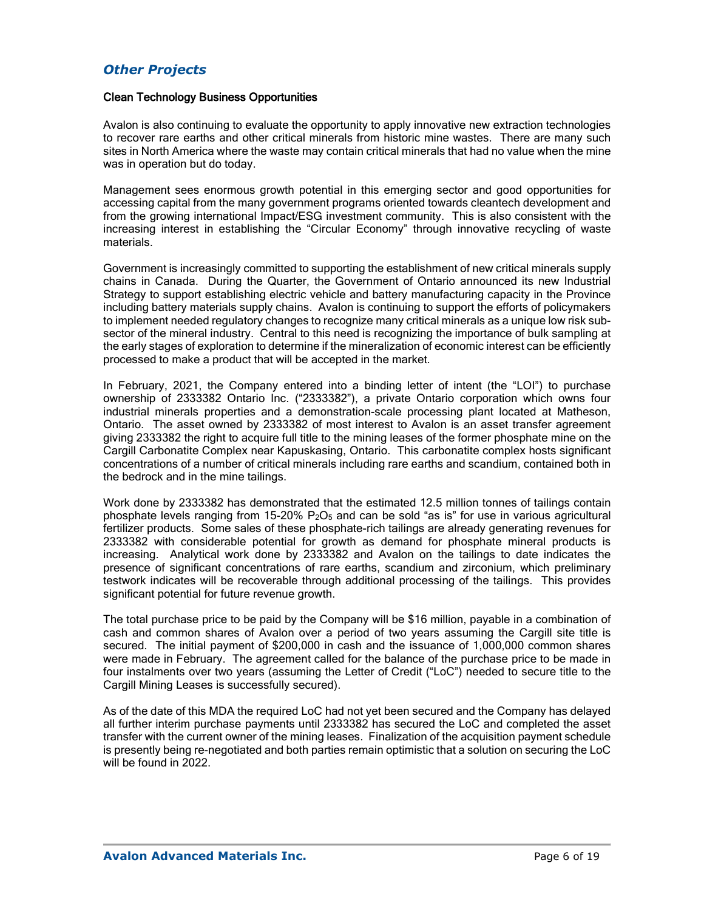### *Other Projects*

#### Clean Technology Business Opportunities

Avalon is also continuing to evaluate the opportunity to apply innovative new extraction technologies to recover rare earths and other critical minerals from historic mine wastes. There are many such sites in North America where the waste may contain critical minerals that had no value when the mine was in operation but do today.

Management sees enormous growth potential in this emerging sector and good opportunities for accessing capital from the many government programs oriented towards cleantech development and from the growing international Impact/ESG investment community. This is also consistent with the increasing interest in establishing the "Circular Economy" through innovative recycling of waste materials.

Government is increasingly committed to supporting the establishment of new critical minerals supply chains in Canada. During the Quarter, the Government of Ontario announced its new Industrial Strategy to support establishing electric vehicle and battery manufacturing capacity in the Province including battery materials supply chains. Avalon is continuing to support the efforts of policymakers to implement needed regulatory changes to recognize many critical minerals as a unique low risk subsector of the mineral industry. Central to this need is recognizing the importance of bulk sampling at the early stages of exploration to determine if the mineralization of economic interest can be efficiently processed to make a product that will be accepted in the market.

In February, 2021, the Company entered into a binding letter of intent (the "LOI") to purchase ownership of 2333382 Ontario Inc. ("2333382"), a private Ontario corporation which owns four industrial minerals properties and a demonstration-scale processing plant located at Matheson, Ontario. The asset owned by 2333382 of most interest to Avalon is an asset transfer agreement giving 2333382 the right to acquire full title to the mining leases of the former phosphate mine on the Cargill Carbonatite Complex near Kapuskasing, Ontario. This carbonatite complex hosts significant concentrations of a number of critical minerals including rare earths and scandium, contained both in the bedrock and in the mine tailings.

Work done by 2333382 has demonstrated that the estimated 12.5 million tonnes of tailings contain phosphate levels ranging from 15-20%  $P_2O_5$  and can be sold "as is" for use in various agricultural fertilizer products. Some sales of these phosphate-rich tailings are already generating revenues for 2333382 with considerable potential for growth as demand for phosphate mineral products is increasing. Analytical work done by 2333382 and Avalon on the tailings to date indicates the presence of significant concentrations of rare earths, scandium and zirconium, which preliminary testwork indicates will be recoverable through additional processing of the tailings. This provides significant potential for future revenue growth.

The total purchase price to be paid by the Company will be \$16 million, payable in a combination of cash and common shares of Avalon over a period of two years assuming the Cargill site title is secured. The initial payment of \$200,000 in cash and the issuance of 1,000,000 common shares were made in February. The agreement called for the balance of the purchase price to be made in four instalments over two years (assuming the Letter of Credit ("LoC") needed to secure title to the Cargill Mining Leases is successfully secured).

As of the date of this MDA the required LoC had not yet been secured and the Company has delayed all further interim purchase payments until 2333382 has secured the LoC and completed the asset transfer with the current owner of the mining leases. Finalization of the acquisition payment schedule is presently being re-negotiated and both parties remain optimistic that a solution on securing the LoC will be found in 2022.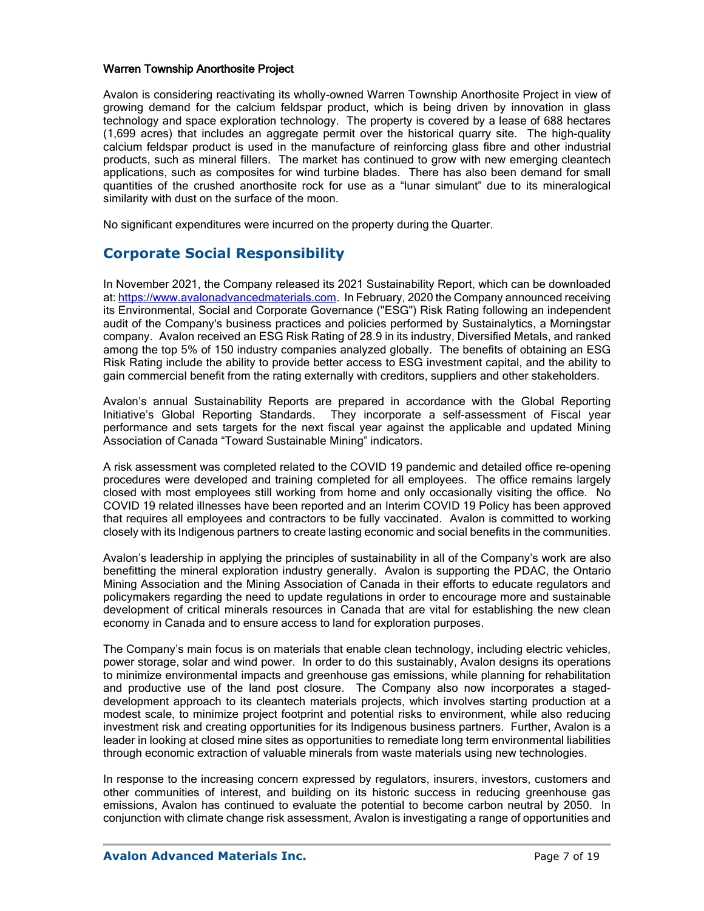### Warren Township Anorthosite Project

Avalon is considering reactivating its wholly-owned Warren Township Anorthosite Project in view of growing demand for the calcium feldspar product, which is being driven by innovation in glass technology and space exploration technology. The property is covered by a lease of 688 hectares (1,699 acres) that includes an aggregate permit over the historical quarry site. The high-quality calcium feldspar product is used in the manufacture of reinforcing glass fibre and other industrial products, such as mineral fillers. The market has continued to grow with new emerging cleantech applications, such as composites for wind turbine blades. There has also been demand for small quantities of the crushed anorthosite rock for use as a "lunar simulant" due to its mineralogical similarity with dust on the surface of the moon.

No significant expenditures were incurred on the property during the Quarter.

## **Corporate Social Responsibility**

In November 2021, the Company released its 2021 Sustainability Report, which can be downloaded at: [https://www.avalonadvancedmaterials.com.](https://www.avalonadvancedmaterials.com/) In February, 2020 the Company announced receiving its Environmental, Social and Corporate Governance ("ESG") Risk Rating following an independent audit of the Company's business practices and policies performed by Sustainalytics, a Morningstar company. Avalon received an ESG Risk Rating of 28.9 in its industry, Diversified Metals, and ranked among the top 5% of 150 industry companies analyzed globally. The benefits of obtaining an ESG Risk Rating include the ability to provide better access to ESG investment capital, and the ability to gain commercial benefit from the rating externally with creditors, suppliers and other stakeholders.

Avalon's annual Sustainability Reports are prepared in accordance with the Global Reporting Initiative's Global Reporting Standards. They incorporate a self-assessment of Fiscal year performance and sets targets for the next fiscal year against the applicable and updated Mining Association of Canada "Toward Sustainable Mining" indicators.

A risk assessment was completed related to the COVID 19 pandemic and detailed office re-opening procedures were developed and training completed for all employees. The office remains largely closed with most employees still working from home and only occasionally visiting the office. No COVID 19 related illnesses have been reported and an Interim COVID 19 Policy has been approved that requires all employees and contractors to be fully vaccinated. Avalon is committed to working closely with its Indigenous partners to create lasting economic and social benefits in the communities.

Avalon's leadership in applying the principles of sustainability in all of the Company's work are also benefitting the mineral exploration industry generally. Avalon is supporting the PDAC, the Ontario Mining Association and the Mining Association of Canada in their efforts to educate regulators and policymakers regarding the need to update regulations in order to encourage more and sustainable development of critical minerals resources in Canada that are vital for establishing the new clean economy in Canada and to ensure access to land for exploration purposes.

The Company's main focus is on materials that enable clean technology, including electric vehicles, power storage, solar and wind power. In order to do this sustainably, Avalon designs its operations to minimize environmental impacts and greenhouse gas emissions, while planning for rehabilitation and productive use of the land post closure. The Company also now incorporates a stageddevelopment approach to its cleantech materials projects, which involves starting production at a modest scale, to minimize project footprint and potential risks to environment, while also reducing investment risk and creating opportunities for its Indigenous business partners. Further, Avalon is a leader in looking at closed mine sites as opportunities to remediate long term environmental liabilities through economic extraction of valuable minerals from waste materials using new technologies.

In response to the increasing concern expressed by regulators, insurers, investors, customers and other communities of interest, and building on its historic success in reducing greenhouse gas emissions, Avalon has continued to evaluate the potential to become carbon neutral by 2050. In conjunction with climate change risk assessment, Avalon is investigating a range of opportunities and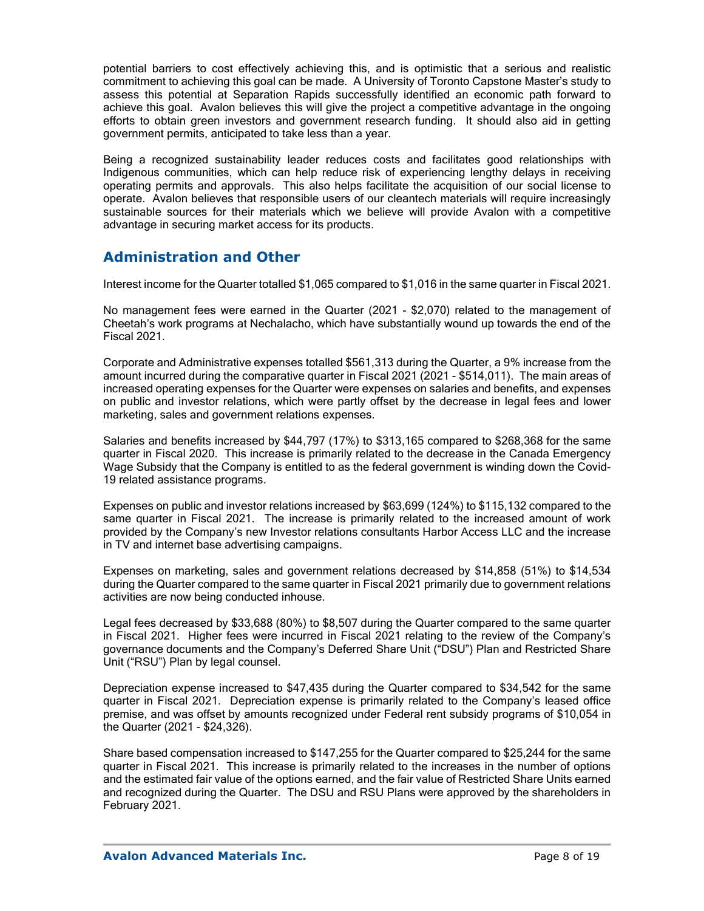potential barriers to cost effectively achieving this, and is optimistic that a serious and realistic commitment to achieving this goal can be made. A University of Toronto Capstone Master's study to assess this potential at Separation Rapids successfully identified an economic path forward to achieve this goal. Avalon believes this will give the project a competitive advantage in the ongoing efforts to obtain green investors and government research funding. It should also aid in getting government permits, anticipated to take less than a year.

Being a recognized sustainability leader reduces costs and facilitates good relationships with Indigenous communities, which can help reduce risk of experiencing lengthy delays in receiving operating permits and approvals. This also helps facilitate the acquisition of our social license to operate. Avalon believes that responsible users of our cleantech materials will require increasingly sustainable sources for their materials which we believe will provide Avalon with a competitive advantage in securing market access for its products.

# **Administration and Other**

Interest income for the Quarter totalled \$1,065 compared to \$1,016 in the same quarter in Fiscal 2021.

No management fees were earned in the Quarter (2021 - \$2,070) related to the management of Cheetah's work programs at Nechalacho, which have substantially wound up towards the end of the Fiscal 2021.

Corporate and Administrative expenses totalled \$561,313 during the Quarter, a 9% increase from the amount incurred during the comparative quarter in Fiscal 2021 (2021 - \$514,011). The main areas of increased operating expenses for the Quarter were expenses on salaries and benefits, and expenses on public and investor relations, which were partly offset by the decrease in legal fees and lower marketing, sales and government relations expenses.

Salaries and benefits increased by \$44,797 (17%) to \$313,165 compared to \$268,368 for the same quarter in Fiscal 2020. This increase is primarily related to the decrease in the Canada Emergency Wage Subsidy that the Company is entitled to as the federal government is winding down the Covid-19 related assistance programs.

Expenses on public and investor relations increased by \$63,699 (124%) to \$115,132 compared to the same quarter in Fiscal 2021. The increase is primarily related to the increased amount of work provided by the Company's new Investor relations consultants Harbor Access LLC and the increase in TV and internet base advertising campaigns.

Expenses on marketing, sales and government relations decreased by \$14,858 (51%) to \$14,534 during the Quarter compared to the same quarter in Fiscal 2021 primarily due to government relations activities are now being conducted inhouse.

Legal fees decreased by \$33,688 (80%) to \$8,507 during the Quarter compared to the same quarter in Fiscal 2021. Higher fees were incurred in Fiscal 2021 relating to the review of the Company's governance documents and the Company's Deferred Share Unit ("DSU") Plan and Restricted Share Unit ("RSU") Plan by legal counsel.

Depreciation expense increased to \$47,435 during the Quarter compared to \$34,542 for the same quarter in Fiscal 2021. Depreciation expense is primarily related to the Company's leased office premise, and was offset by amounts recognized under Federal rent subsidy programs of \$10,054 in the Quarter (2021 - \$24,326).

Share based compensation increased to \$147,255 for the Quarter compared to \$25,244 for the same quarter in Fiscal 2021. This increase is primarily related to the increases in the number of options and the estimated fair value of the options earned, and the fair value of Restricted Share Units earned and recognized during the Quarter. The DSU and RSU Plans were approved by the shareholders in February 2021.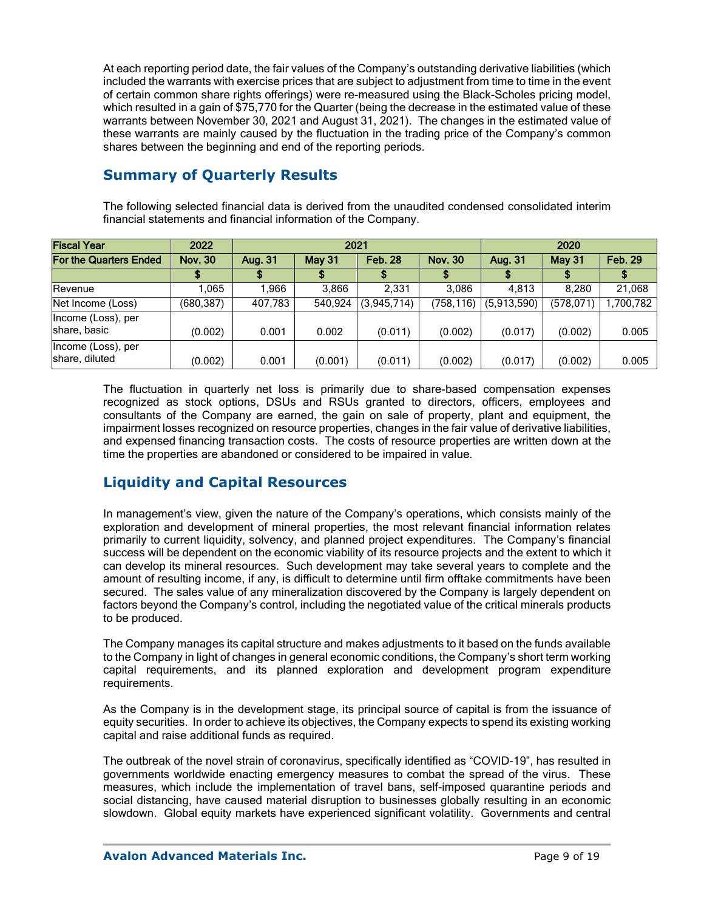At each reporting period date, the fair values of the Company's outstanding derivative liabilities (which included the warrants with exercise prices that are subject to adjustment from time to time in the event of certain common share rights offerings) were re-measured using the Black-Scholes pricing model, which resulted in a gain of \$75,770 for the Quarter (being the decrease in the estimated value of these warrants between November 30, 2021 and August 31, 2021). The changes in the estimated value of these warrants are mainly caused by the fluctuation in the trading price of the Company's common shares between the beginning and end of the reporting periods.

# **Summary of Quarterly Results**

The following selected financial data is derived from the unaudited condensed consolidated interim financial statements and financial information of the Company.

| <b>Fiscal Year</b>                   | 2022           | 2021    |               |                |                | 2020        |               |                |
|--------------------------------------|----------------|---------|---------------|----------------|----------------|-------------|---------------|----------------|
| <b>For the Quarters Ended</b>        | <b>Nov. 30</b> | Aug. 31 | <b>May 31</b> | <b>Feb. 28</b> | <b>Nov. 30</b> | Aug. 31     | <b>May 31</b> | <b>Feb. 29</b> |
|                                      |                |         |               |                |                |             |               |                |
| Revenue                              | .065           | .966    | 3,866         | 2.331          | 3.086          | 4.813       | 8.280         | 21,068         |
| Net Income (Loss)                    | (680, 387)     | 407,783 | 540,924       | (3,945,714)    | (758,116)      | (5,913,590) | (578, 071)    | ,700,782       |
| Income (Loss), per<br>share, basic   | (0.002)        | 0.001   | 0.002         | (0.011)        | (0.002)        | (0.017)     | (0.002)       | 0.005          |
| Income (Loss), per<br>share, diluted | (0.002)        | 0.001   | (0.001)       | (0.011)        | (0.002)        | (0.017)     | (0.002)       | 0.005          |

The fluctuation in quarterly net loss is primarily due to share-based compensation expenses recognized as stock options, DSUs and RSUs granted to directors, officers, employees and consultants of the Company are earned, the gain on sale of property, plant and equipment, the impairment losses recognized on resource properties, changes in the fair value of derivative liabilities, and expensed financing transaction costs. The costs of resource properties are written down at the time the properties are abandoned or considered to be impaired in value.

# **Liquidity and Capital Resources**

In management's view, given the nature of the Company's operations, which consists mainly of the exploration and development of mineral properties, the most relevant financial information relates primarily to current liquidity, solvency, and planned project expenditures. The Company's financial success will be dependent on the economic viability of its resource projects and the extent to which it can develop its mineral resources. Such development may take several years to complete and the amount of resulting income, if any, is difficult to determine until firm offtake commitments have been secured. The sales value of any mineralization discovered by the Company is largely dependent on factors beyond the Company's control, including the negotiated value of the critical minerals products to be produced.

The Company manages its capital structure and makes adjustments to it based on the funds available to the Company in light of changes in general economic conditions, the Company's short term working capital requirements, and its planned exploration and development program expenditure requirements.

As the Company is in the development stage, its principal source of capital is from the issuance of equity securities. In order to achieve its objectives, the Company expects to spend its existing working capital and raise additional funds as required.

The outbreak of the novel strain of coronavirus, specifically identified as "COVID-19", has resulted in governments worldwide enacting emergency measures to combat the spread of the virus. These measures, which include the implementation of travel bans, self-imposed quarantine periods and social distancing, have caused material disruption to businesses globally resulting in an economic slowdown. Global equity markets have experienced significant volatility. Governments and central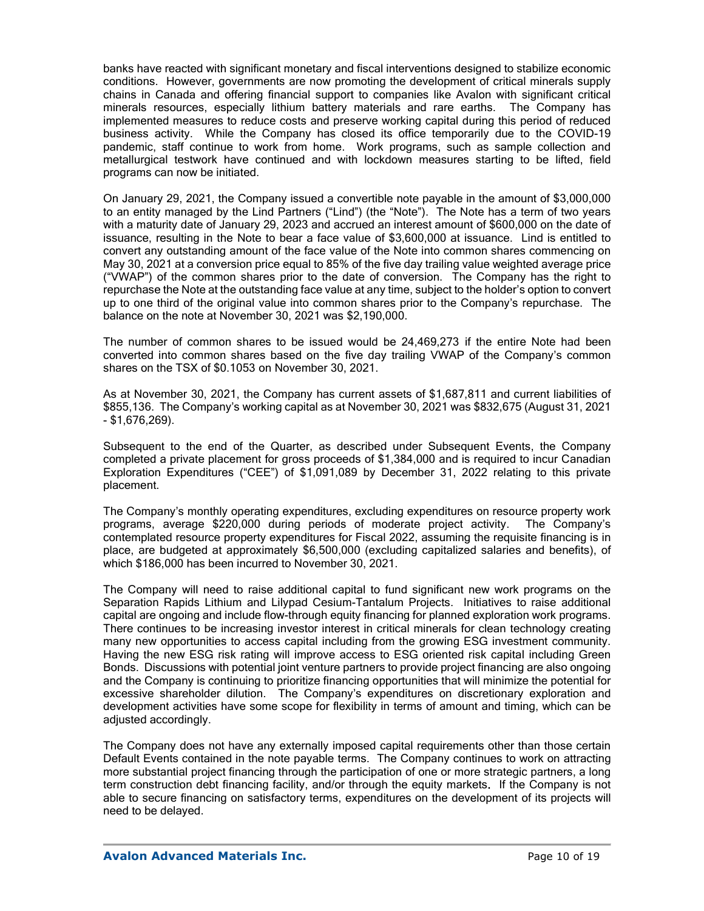banks have reacted with significant monetary and fiscal interventions designed to stabilize economic conditions. However, governments are now promoting the development of critical minerals supply chains in Canada and offering financial support to companies like Avalon with significant critical minerals resources, especially lithium battery materials and rare earths. The Company has implemented measures to reduce costs and preserve working capital during this period of reduced business activity. While the Company has closed its office temporarily due to the COVID-19 pandemic, staff continue to work from home. Work programs, such as sample collection and metallurgical testwork have continued and with lockdown measures starting to be lifted, field programs can now be initiated.

On January 29, 2021, the Company issued a convertible note payable in the amount of \$3,000,000 to an entity managed by the Lind Partners ("Lind") (the "Note"). The Note has a term of two years with a maturity date of January 29, 2023 and accrued an interest amount of \$600,000 on the date of issuance, resulting in the Note to bear a face value of \$3,600,000 at issuance. Lind is entitled to convert any outstanding amount of the face value of the Note into common shares commencing on May 30, 2021 at a conversion price equal to 85% of the five day trailing value weighted average price ("VWAP") of the common shares prior to the date of conversion. The Company has the right to repurchase the Note at the outstanding face value at any time, subject to the holder's option to convert up to one third of the original value into common shares prior to the Company's repurchase. The balance on the note at November 30, 2021 was \$2,190,000.

The number of common shares to be issued would be 24,469,273 if the entire Note had been converted into common shares based on the five day trailing VWAP of the Company's common shares on the TSX of \$0.1053 on November 30, 2021.

As at November 30, 2021, the Company has current assets of \$1,687,811 and current liabilities of \$855,136. The Company's working capital as at November 30, 2021 was \$832,675 (August 31, 2021 - \$1,676,269).

Subsequent to the end of the Quarter, as described under Subsequent Events, the Company completed a private placement for gross proceeds of \$1,384,000 and is required to incur Canadian Exploration Expenditures ("CEE") of \$1,091,089 by December 31, 2022 relating to this private placement.

The Company's monthly operating expenditures, excluding expenditures on resource property work programs, average \$220,000 during periods of moderate project activity. The Company's contemplated resource property expenditures for Fiscal 2022, assuming the requisite financing is in place, are budgeted at approximately \$6,500,000 (excluding capitalized salaries and benefits), of which \$186,000 has been incurred to November 30, 2021.

The Company will need to raise additional capital to fund significant new work programs on the Separation Rapids Lithium and Lilypad Cesium-Tantalum Projects. Initiatives to raise additional capital are ongoing and include flow-through equity financing for planned exploration work programs. There continues to be increasing investor interest in critical minerals for clean technology creating many new opportunities to access capital including from the growing ESG investment community. Having the new ESG risk rating will improve access to ESG oriented risk capital including Green Bonds. Discussions with potential joint venture partners to provide project financing are also ongoing and the Company is continuing to prioritize financing opportunities that will minimize the potential for excessive shareholder dilution. The Company's expenditures on discretionary exploration and development activities have some scope for flexibility in terms of amount and timing, which can be adjusted accordingly.

The Company does not have any externally imposed capital requirements other than those certain Default Events contained in the note payable terms. The Company continues to work on attracting more substantial project financing through the participation of one or more strategic partners, a long term construction debt financing facility, and/or through the equity markets. If the Company is not able to secure financing on satisfactory terms, expenditures on the development of its projects will need to be delayed.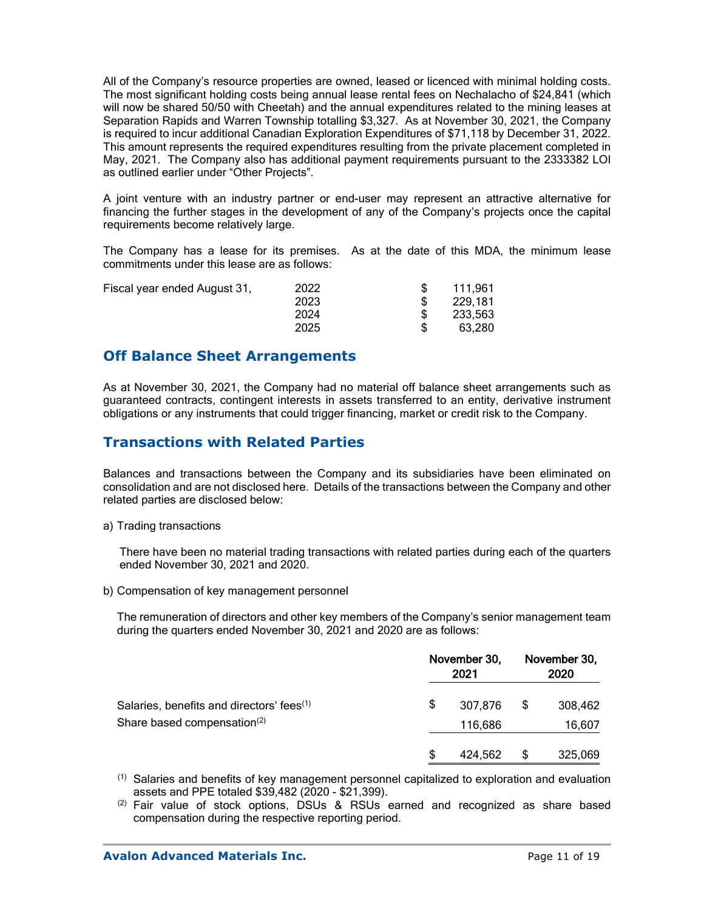All of the Company's resource properties are owned, leased or licenced with minimal holding costs. The most significant holding costs being annual lease rental fees on Nechalacho of \$24,841 (which will now be shared 50/50 with Cheetah) and the annual expenditures related to the mining leases at Separation Rapids and Warren Township totalling \$3,327. As at November 30, 2021, the Company is required to incur additional Canadian Exploration Expenditures of \$71,118 by December 31, 2022. This amount represents the required expenditures resulting from the private placement completed in May, 2021. The Company also has additional payment requirements pursuant to the 2333382 LOI as outlined earlier under "Other Projects".

A joint venture with an industry partner or end-user may represent an attractive alternative for financing the further stages in the development of any of the Company's projects once the capital requirements become relatively large.

The Company has a lease for its premises. As at the date of this MDA, the minimum lease commitments under this lease are as follows:

| Fiscal year ended August 31, | 2022 | 111,961 |
|------------------------------|------|---------|
|                              | 2023 | 229.181 |
|                              | 2024 | 233,563 |
|                              | 2025 | 63.280  |

## **Off Balance Sheet Arrangements**

As at November 30, 2021, the Company had no material off balance sheet arrangements such as guaranteed contracts, contingent interests in assets transferred to an entity, derivative instrument obligations or any instruments that could trigger financing, market or credit risk to the Company.

## **Transactions with Related Parties**

Balances and transactions between the Company and its subsidiaries have been eliminated on consolidation and are not disclosed here. Details of the transactions between the Company and other related parties are disclosed below:

a) Trading transactions

There have been no material trading transactions with related parties during each of the quarters ended November 30, 2021 and 2020.

b) Compensation of key management personnel

The remuneration of directors and other key members of the Company's senior management team during the quarters ended November 30, 2021 and 2020 are as follows:

|                                                       | November 30,<br>2021 |         | November 30,<br>2020 |         |
|-------------------------------------------------------|----------------------|---------|----------------------|---------|
| Salaries, benefits and directors' fees <sup>(1)</sup> | \$                   | 307,876 | \$                   | 308,462 |
| Share based compensation <sup>(2)</sup>               |                      | 116,686 |                      | 16,607  |
|                                                       | \$                   | 424,562 | \$                   | 325,069 |

 $<sup>(1)</sup>$  Salaries and benefits of key management personnel capitalized to exploration and evaluation</sup> assets and PPE totaled \$39,482 (2020 - \$21,399).

(2) Fair value of stock options, DSUs & RSUs earned and recognized as share based compensation during the respective reporting period.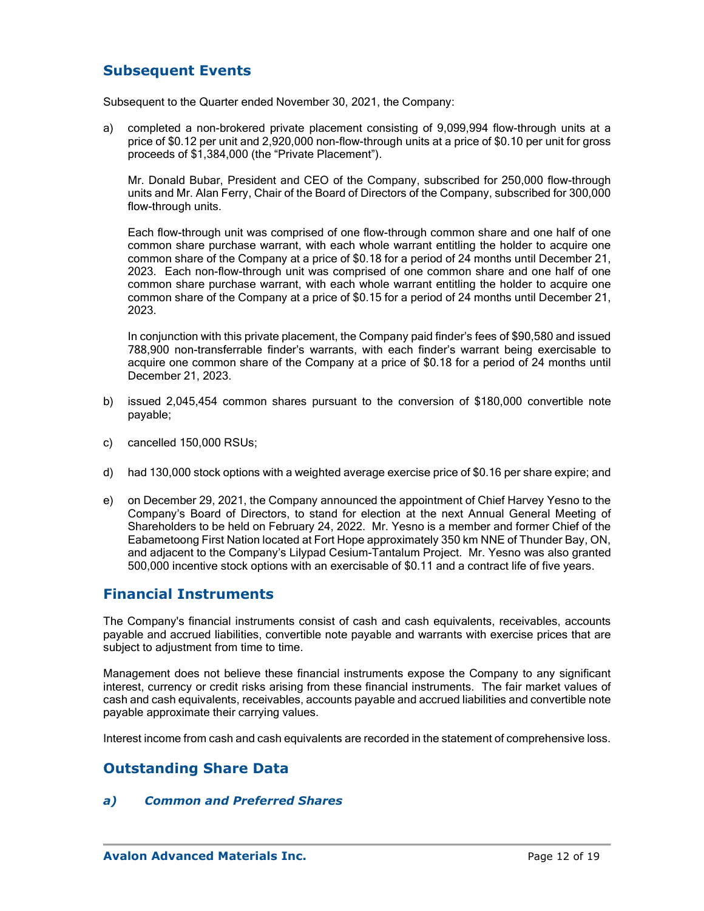# **Subsequent Events**

Subsequent to the Quarter ended November 30, 2021, the Company:

a) completed a non-brokered private placement consisting of 9,099,994 flow-through units at a price of \$0.12 per unit and 2,920,000 non-flow-through units at a price of \$0.10 per unit for gross proceeds of \$1,384,000 (the "Private Placement").

Mr. Donald Bubar, President and CEO of the Company, subscribed for 250,000 flow-through units and Mr. Alan Ferry, Chair of the Board of Directors of the Company, subscribed for 300,000 flow-through units.

Each flow-through unit was comprised of one flow-through common share and one half of one common share purchase warrant, with each whole warrant entitling the holder to acquire one common share of the Company at a price of \$0.18 for a period of 24 months until December 21, 2023. Each non-flow-through unit was comprised of one common share and one half of one common share purchase warrant, with each whole warrant entitling the holder to acquire one common share of the Company at a price of \$0.15 for a period of 24 months until December 21, 2023.

In conjunction with this private placement, the Company paid finder's fees of \$90,580 and issued 788,900 non-transferrable finder's warrants, with each finder's warrant being exercisable to acquire one common share of the Company at a price of \$0.18 for a period of 24 months until December 21, 2023.

- b) issued 2,045,454 common shares pursuant to the conversion of \$180,000 convertible note payable;
- c) cancelled 150,000 RSUs;
- d) had 130,000 stock options with a weighted average exercise price of \$0.16 per share expire; and
- e) on December 29, 2021, the Company announced the appointment of Chief Harvey Yesno to the Company's Board of Directors, to stand for election at the next Annual General Meeting of Shareholders to be held on February 24, 2022. Mr. Yesno is a member and former Chief of the Eabametoong First Nation located at Fort Hope approximately 350 km NNE of Thunder Bay, ON, and adjacent to the Company's Lilypad Cesium-Tantalum Project. Mr. Yesno was also granted 500,000 incentive stock options with an exercisable of \$0.11 and a contract life of five years.

### **Financial Instruments**

The Company's financial instruments consist of cash and cash equivalents, receivables, accounts payable and accrued liabilities, convertible note payable and warrants with exercise prices that are subject to adjustment from time to time.

Management does not believe these financial instruments expose the Company to any significant interest, currency or credit risks arising from these financial instruments. The fair market values of cash and cash equivalents, receivables, accounts payable and accrued liabilities and convertible note payable approximate their carrying values.

Interest income from cash and cash equivalents are recorded in the statement of comprehensive loss.

### **Outstanding Share Data**

### *a) Common and Preferred Shares*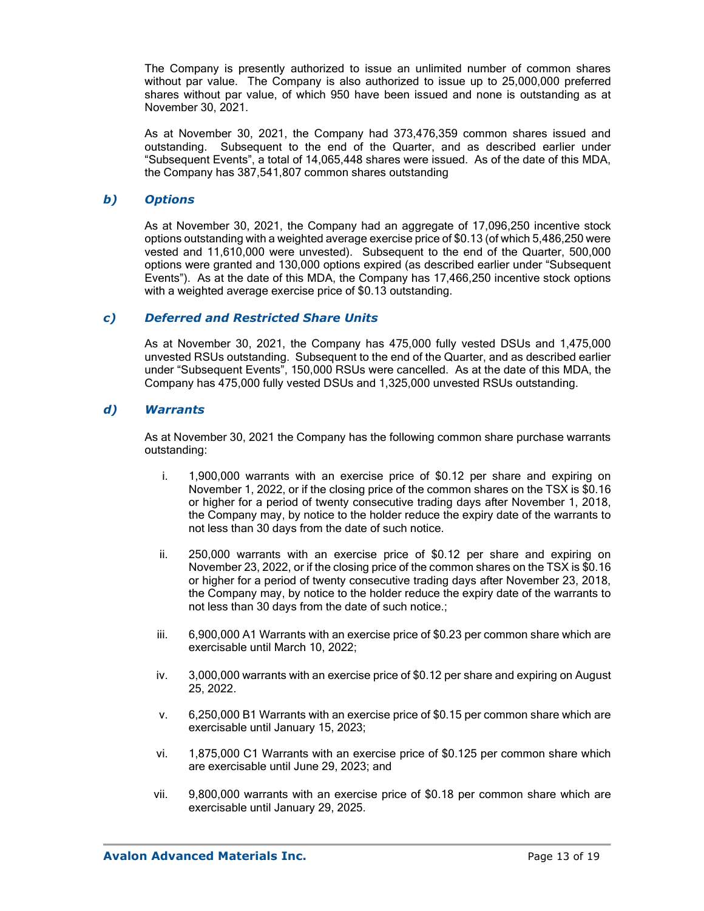The Company is presently authorized to issue an unlimited number of common shares without par value. The Company is also authorized to issue up to 25,000,000 preferred shares without par value, of which 950 have been issued and none is outstanding as at November 30, 2021.

As at November 30, 2021, the Company had 373,476,359 common shares issued and outstanding. Subsequent to the end of the Quarter, and as described earlier under "Subsequent Events", a total of 14,065,448 shares were issued. As of the date of this MDA, the Company has 387,541,807 common shares outstanding

### *b) Options*

As at November 30, 2021, the Company had an aggregate of 17,096,250 incentive stock options outstanding with a weighted average exercise price of \$0.13 (of which 5,486,250 were vested and 11,610,000 were unvested). Subsequent to the end of the Quarter, 500,000 options were granted and 130,000 options expired (as described earlier under "Subsequent Events"). As at the date of this MDA, the Company has 17,466,250 incentive stock options with a weighted average exercise price of \$0.13 outstanding.

### *c) Deferred and Restricted Share Units*

As at November 30, 2021, the Company has 475,000 fully vested DSUs and 1,475,000 unvested RSUs outstanding. Subsequent to the end of the Quarter, and as described earlier under "Subsequent Events", 150,000 RSUs were cancelled. As at the date of this MDA, the Company has 475,000 fully vested DSUs and 1,325,000 unvested RSUs outstanding.

### *d) Warrants*

As at November 30, 2021 the Company has the following common share purchase warrants outstanding:

- i. 1,900,000 warrants with an exercise price of \$0.12 per share and expiring on November 1, 2022, or if the closing price of the common shares on the TSX is \$0.16 or higher for a period of twenty consecutive trading days after November 1, 2018, the Company may, by notice to the holder reduce the expiry date of the warrants to not less than 30 days from the date of such notice.
- ii. 250,000 warrants with an exercise price of \$0.12 per share and expiring on November 23, 2022, or if the closing price of the common shares on the TSX is \$0.16 or higher for a period of twenty consecutive trading days after November 23, 2018, the Company may, by notice to the holder reduce the expiry date of the warrants to not less than 30 days from the date of such notice.;
- iii. 6,900,000 A1 Warrants with an exercise price of \$0.23 per common share which are exercisable until March 10, 2022;
- iv. 3,000,000 warrants with an exercise price of \$0.12 per share and expiring on August 25, 2022.
- v. 6,250,000 B1 Warrants with an exercise price of \$0.15 per common share which are exercisable until January 15, 2023;
- vi. 1,875,000 C1 Warrants with an exercise price of \$0.125 per common share which are exercisable until June 29, 2023; and
- vii. 9,800,000 warrants with an exercise price of \$0.18 per common share which are exercisable until January 29, 2025.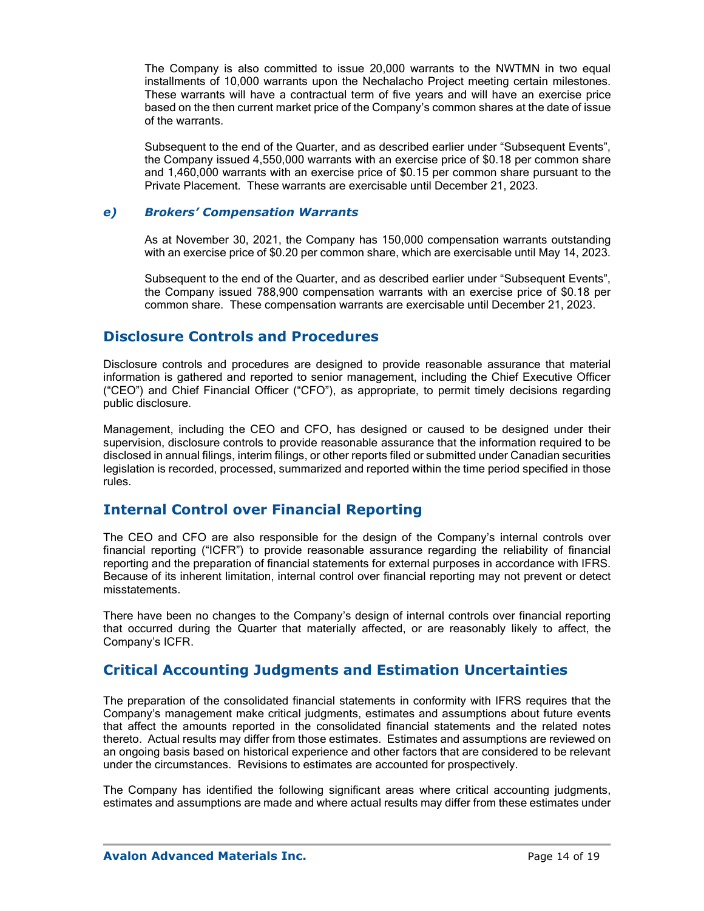The Company is also committed to issue 20,000 warrants to the NWTMN in two equal installments of 10,000 warrants upon the Nechalacho Project meeting certain milestones. These warrants will have a contractual term of five years and will have an exercise price based on the then current market price of the Company's common shares at the date of issue of the warrants.

Subsequent to the end of the Quarter, and as described earlier under "Subsequent Events", the Company issued 4,550,000 warrants with an exercise price of \$0.18 per common share and 1,460,000 warrants with an exercise price of \$0.15 per common share pursuant to the Private Placement. These warrants are exercisable until December 21, 2023.

### *e) Brokers' Compensation Warrants*

As at November 30, 2021, the Company has 150,000 compensation warrants outstanding with an exercise price of \$0.20 per common share, which are exercisable until May 14, 2023.

Subsequent to the end of the Quarter, and as described earlier under "Subsequent Events", the Company issued 788,900 compensation warrants with an exercise price of \$0.18 per common share. These compensation warrants are exercisable until December 21, 2023.

### **Disclosure Controls and Procedures**

Disclosure controls and procedures are designed to provide reasonable assurance that material information is gathered and reported to senior management, including the Chief Executive Officer ("CEO") and Chief Financial Officer ("CFO"), as appropriate, to permit timely decisions regarding public disclosure.

Management, including the CEO and CFO, has designed or caused to be designed under their supervision, disclosure controls to provide reasonable assurance that the information required to be disclosed in annual filings, interim filings, or other reports filed or submitted under Canadian securities legislation is recorded, processed, summarized and reported within the time period specified in those rules.

### **Internal Control over Financial Reporting**

The CEO and CFO are also responsible for the design of the Company's internal controls over financial reporting ("ICFR") to provide reasonable assurance regarding the reliability of financial reporting and the preparation of financial statements for external purposes in accordance with IFRS. Because of its inherent limitation, internal control over financial reporting may not prevent or detect misstatements.

There have been no changes to the Company's design of internal controls over financial reporting that occurred during the Quarter that materially affected, or are reasonably likely to affect, the Company's ICFR.

### **Critical Accounting Judgments and Estimation Uncertainties**

The preparation of the consolidated financial statements in conformity with IFRS requires that the Company's management make critical judgments, estimates and assumptions about future events that affect the amounts reported in the consolidated financial statements and the related notes thereto. Actual results may differ from those estimates. Estimates and assumptions are reviewed on an ongoing basis based on historical experience and other factors that are considered to be relevant under the circumstances. Revisions to estimates are accounted for prospectively.

The Company has identified the following significant areas where critical accounting judgments, estimates and assumptions are made and where actual results may differ from these estimates under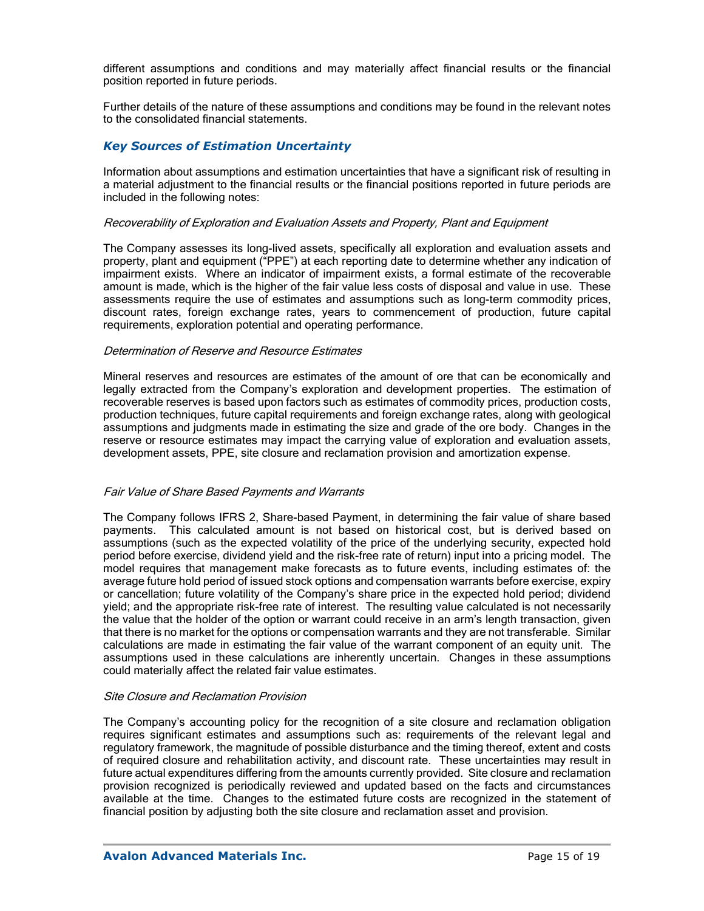different assumptions and conditions and may materially affect financial results or the financial position reported in future periods.

Further details of the nature of these assumptions and conditions may be found in the relevant notes to the consolidated financial statements.

### *Key Sources of Estimation Uncertainty*

Information about assumptions and estimation uncertainties that have a significant risk of resulting in a material adjustment to the financial results or the financial positions reported in future periods are included in the following notes:

#### Recoverability of Exploration and Evaluation Assets and Property, Plant and Equipment

The Company assesses its long-lived assets, specifically all exploration and evaluation assets and property, plant and equipment ("PPE") at each reporting date to determine whether any indication of impairment exists. Where an indicator of impairment exists, a formal estimate of the recoverable amount is made, which is the higher of the fair value less costs of disposal and value in use. These assessments require the use of estimates and assumptions such as long-term commodity prices, discount rates, foreign exchange rates, years to commencement of production, future capital requirements, exploration potential and operating performance.

#### Determination of Reserve and Resource Estimates

Mineral reserves and resources are estimates of the amount of ore that can be economically and legally extracted from the Company's exploration and development properties. The estimation of recoverable reserves is based upon factors such as estimates of commodity prices, production costs, production techniques, future capital requirements and foreign exchange rates, along with geological assumptions and judgments made in estimating the size and grade of the ore body. Changes in the reserve or resource estimates may impact the carrying value of exploration and evaluation assets, development assets, PPE, site closure and reclamation provision and amortization expense.

#### Fair Value of Share Based Payments and Warrants

The Company follows IFRS 2, Share-based Payment, in determining the fair value of share based payments. This calculated amount is not based on historical cost, but is derived based on assumptions (such as the expected volatility of the price of the underlying security, expected hold period before exercise, dividend yield and the risk-free rate of return) input into a pricing model. The model requires that management make forecasts as to future events, including estimates of: the average future hold period of issued stock options and compensation warrants before exercise, expiry or cancellation; future volatility of the Company's share price in the expected hold period; dividend yield; and the appropriate risk-free rate of interest. The resulting value calculated is not necessarily the value that the holder of the option or warrant could receive in an arm's length transaction, given that there is no market for the options or compensation warrants and they are not transferable. Similar calculations are made in estimating the fair value of the warrant component of an equity unit. The assumptions used in these calculations are inherently uncertain. Changes in these assumptions could materially affect the related fair value estimates.

#### Site Closure and Reclamation Provision

The Company's accounting policy for the recognition of a site closure and reclamation obligation requires significant estimates and assumptions such as: requirements of the relevant legal and regulatory framework, the magnitude of possible disturbance and the timing thereof, extent and costs of required closure and rehabilitation activity, and discount rate. These uncertainties may result in future actual expenditures differing from the amounts currently provided. Site closure and reclamation provision recognized is periodically reviewed and updated based on the facts and circumstances available at the time. Changes to the estimated future costs are recognized in the statement of financial position by adjusting both the site closure and reclamation asset and provision.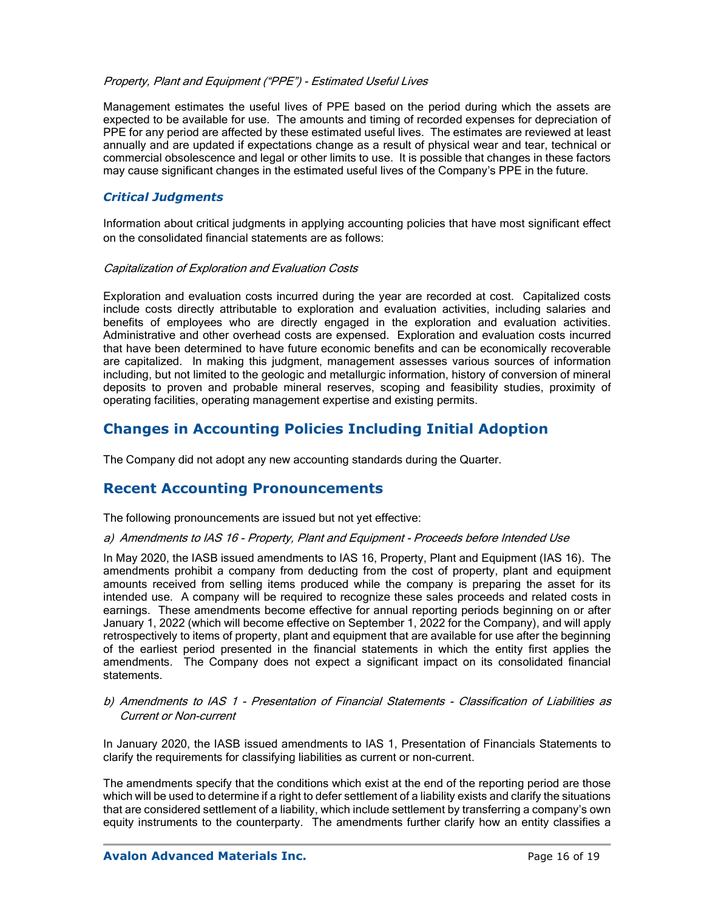### Property, Plant and Equipment ("PPE") - Estimated Useful Lives

Management estimates the useful lives of PPE based on the period during which the assets are expected to be available for use. The amounts and timing of recorded expenses for depreciation of PPE for any period are affected by these estimated useful lives. The estimates are reviewed at least annually and are updated if expectations change as a result of physical wear and tear, technical or commercial obsolescence and legal or other limits to use. It is possible that changes in these factors may cause significant changes in the estimated useful lives of the Company's PPE in the future.

### *Critical Judgments*

Information about critical judgments in applying accounting policies that have most significant effect on the consolidated financial statements are as follows:

### Capitalization of Exploration and Evaluation Costs

Exploration and evaluation costs incurred during the year are recorded at cost. Capitalized costs include costs directly attributable to exploration and evaluation activities, including salaries and benefits of employees who are directly engaged in the exploration and evaluation activities. Administrative and other overhead costs are expensed. Exploration and evaluation costs incurred that have been determined to have future economic benefits and can be economically recoverable are capitalized. In making this judgment, management assesses various sources of information including, but not limited to the geologic and metallurgic information, history of conversion of mineral deposits to proven and probable mineral reserves, scoping and feasibility studies, proximity of operating facilities, operating management expertise and existing permits.

# **Changes in Accounting Policies Including Initial Adoption**

The Company did not adopt any new accounting standards during the Quarter.

# **Recent Accounting Pronouncements**

The following pronouncements are issued but not yet effective:

### a) Amendments to IAS 16 - Property, Plant and Equipment - Proceeds before Intended Use

In May 2020, the IASB issued amendments to IAS 16, Property, Plant and Equipment (IAS 16). The amendments prohibit a company from deducting from the cost of property, plant and equipment amounts received from selling items produced while the company is preparing the asset for its intended use. A company will be required to recognize these sales proceeds and related costs in earnings. These amendments become effective for annual reporting periods beginning on or after January 1, 2022 (which will become effective on September 1, 2022 for the Company), and will apply retrospectively to items of property, plant and equipment that are available for use after the beginning of the earliest period presented in the financial statements in which the entity first applies the amendments. The Company does not expect a significant impact on its consolidated financial statements.

### b) Amendments to IAS 1 - Presentation of Financial Statements - Classification of Liabilities as Current or Non-current

In January 2020, the IASB issued amendments to IAS 1, Presentation of Financials Statements to clarify the requirements for classifying liabilities as current or non-current.

The amendments specify that the conditions which exist at the end of the reporting period are those which will be used to determine if a right to defer settlement of a liability exists and clarify the situations that are considered settlement of a liability, which include settlement by transferring a company's own equity instruments to the counterparty. The amendments further clarify how an entity classifies a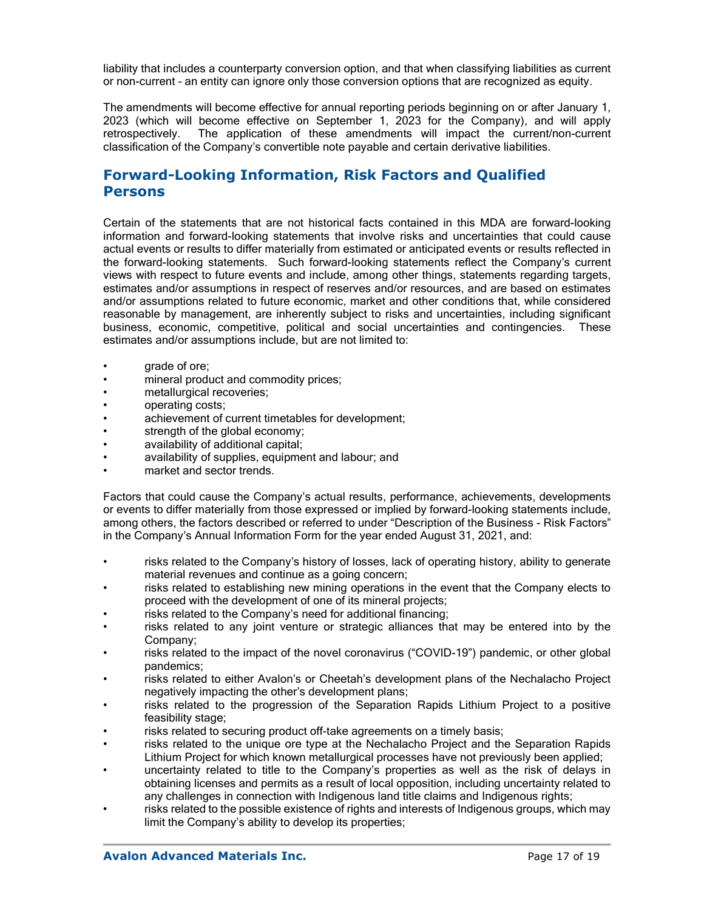liability that includes a counterparty conversion option, and that when classifying liabilities as current or non-current – an entity can ignore only those conversion options that are recognized as equity.

The amendments will become effective for annual reporting periods beginning on or after January 1, 2023 (which will become effective on September 1, 2023 for the Company), and will apply retrospectively. The application of these amendments will impact the current/non-current classification of the Company's convertible note payable and certain derivative liabilities.

# **Forward-Looking Information, Risk Factors and Qualified Persons**

Certain of the statements that are not historical facts contained in this MDA are forward-looking information and forward-looking statements that involve risks and uncertainties that could cause actual events or results to differ materially from estimated or anticipated events or results reflected in the forward-looking statements. Such forward-looking statements reflect the Company's current views with respect to future events and include, among other things, statements regarding targets, estimates and/or assumptions in respect of reserves and/or resources, and are based on estimates and/or assumptions related to future economic, market and other conditions that, while considered reasonable by management, are inherently subject to risks and uncertainties, including significant business, economic, competitive, political and social uncertainties and contingencies. These estimates and/or assumptions include, but are not limited to:

- grade of ore;
- mineral product and commodity prices;
- metallurgical recoveries;
- operating costs;
- achievement of current timetables for development;
- strength of the global economy;
- availability of additional capital;
- availability of supplies, equipment and labour; and
- market and sector trends.

Factors that could cause the Company's actual results, performance, achievements, developments or events to differ materially from those expressed or implied by forward-looking statements include, among others, the factors described or referred to under "Description of the Business - Risk Factors" in the Company's Annual Information Form for the year ended August 31, 2021, and:

- risks related to the Company's history of losses, lack of operating history, ability to generate material revenues and continue as a going concern;
- risks related to establishing new mining operations in the event that the Company elects to proceed with the development of one of its mineral projects;
- risks related to the Company's need for additional financing;
- risks related to any joint venture or strategic alliances that may be entered into by the Company;
- risks related to the impact of the novel coronavirus ("COVID-19") pandemic, or other global pandemics;
- risks related to either Avalon's or Cheetah's development plans of the Nechalacho Project negatively impacting the other's development plans;
- risks related to the progression of the Separation Rapids Lithium Project to a positive feasibility stage;
- risks related to securing product off-take agreements on a timely basis;
- risks related to the unique ore type at the Nechalacho Project and the Separation Rapids Lithium Project for which known metallurgical processes have not previously been applied;
- uncertainty related to title to the Company's properties as well as the risk of delays in obtaining licenses and permits as a result of local opposition, including uncertainty related to any challenges in connection with Indigenous land title claims and Indigenous rights;
- risks related to the possible existence of rights and interests of Indigenous groups, which may limit the Company's ability to develop its properties;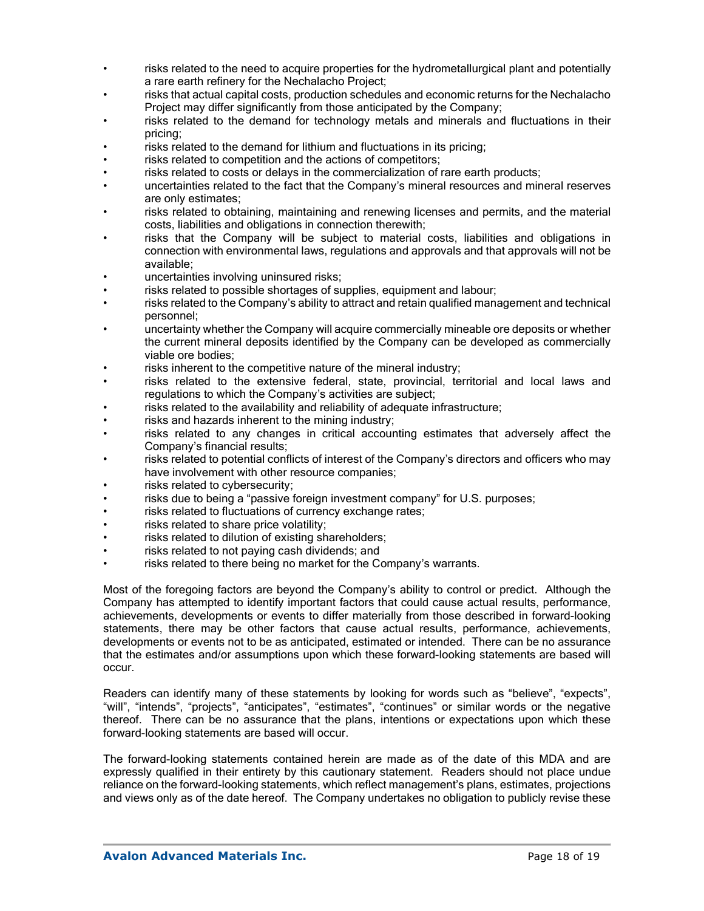- risks related to the need to acquire properties for the hydrometallurgical plant and potentially a rare earth refinery for the Nechalacho Project;
- risks that actual capital costs, production schedules and economic returns for the Nechalacho Project may differ significantly from those anticipated by the Company;
- risks related to the demand for technology metals and minerals and fluctuations in their pricing;
- risks related to the demand for lithium and fluctuations in its pricing;
- risks related to competition and the actions of competitors;
- risks related to costs or delays in the commercialization of rare earth products;
- uncertainties related to the fact that the Company's mineral resources and mineral reserves are only estimates;
- risks related to obtaining, maintaining and renewing licenses and permits, and the material costs, liabilities and obligations in connection therewith;
- risks that the Company will be subject to material costs, liabilities and obligations in connection with environmental laws, regulations and approvals and that approvals will not be available;
- uncertainties involving uninsured risks;
- risks related to possible shortages of supplies, equipment and labour;
- risks related to the Company's ability to attract and retain qualified management and technical personnel;
- uncertainty whether the Company will acquire commercially mineable ore deposits or whether the current mineral deposits identified by the Company can be developed as commercially viable ore bodies;
- risks inherent to the competitive nature of the mineral industry;
- risks related to the extensive federal, state, provincial, territorial and local laws and regulations to which the Company's activities are subject;
- risks related to the availability and reliability of adequate infrastructure;
- risks and hazards inherent to the mining industry;
- risks related to any changes in critical accounting estimates that adversely affect the Company's financial results;
- risks related to potential conflicts of interest of the Company's directors and officers who may have involvement with other resource companies;
- risks related to cybersecurity;
- risks due to being a "passive foreign investment company" for U.S. purposes;
- risks related to fluctuations of currency exchange rates;
- risks related to share price volatility;
- risks related to dilution of existing shareholders;
- risks related to not paying cash dividends; and
- risks related to there being no market for the Company's warrants.

Most of the foregoing factors are beyond the Company's ability to control or predict. Although the Company has attempted to identify important factors that could cause actual results, performance, achievements, developments or events to differ materially from those described in forward-looking statements, there may be other factors that cause actual results, performance, achievements, developments or events not to be as anticipated, estimated or intended. There can be no assurance that the estimates and/or assumptions upon which these forward-looking statements are based will occur.

Readers can identify many of these statements by looking for words such as "believe", "expects", "will", "intends", "projects", "anticipates", "estimates", "continues" or similar words or the negative thereof. There can be no assurance that the plans, intentions or expectations upon which these forward-looking statements are based will occur.

The forward-looking statements contained herein are made as of the date of this MDA and are expressly qualified in their entirety by this cautionary statement. Readers should not place undue reliance on the forward-looking statements, which reflect management's plans, estimates, projections and views only as of the date hereof. The Company undertakes no obligation to publicly revise these